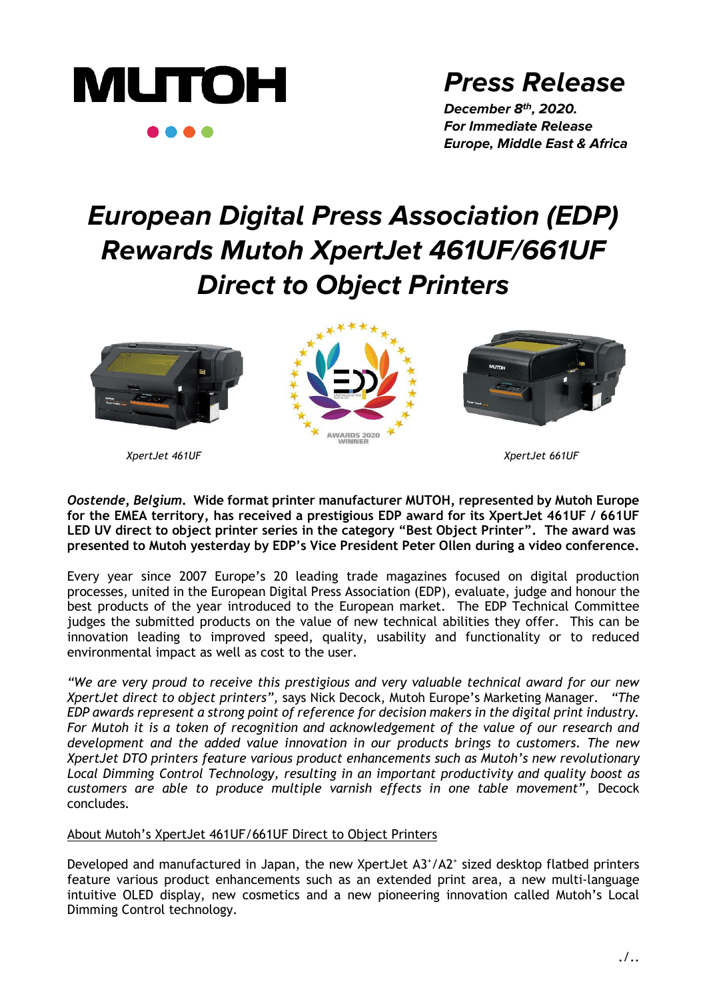

# **Press Release**

**December 8th, 2020. For Immediate Release Europe, Middle East & Africa**

# **European Digital Press Association (EDP) Rewards Mutoh XpertJet 461UF/661UF Direct to Object Printers**



*XpertJet 461UF XpertJet 661UF*

### *Oostende, Belgium***. Wide format printer manufacturer MUTOH, represented by Mutoh Europe for the EMEA territory, has received a prestigious EDP award for its XpertJet 461UF / 661UF LED UV direct to object printer series in the category "Best Object Printer". The award was presented to Mutoh yesterday by EDP's Vice President Peter Ollen during a video conference.**

Every year since 2007 Europe's 20 leading trade magazines focused on digital production processes, united in the European Digital Press Association (EDP), evaluate, judge and honour the best products of the year introduced to the European market. The EDP Technical Committee judges the submitted products on the value of new technical abilities they offer. This can be innovation leading to improved speed, quality, usability and functionality or to reduced environmental impact as well as cost to the user.

*"We are very proud to receive this prestigious and very valuable technical award for our new XpertJet direct to object printers",* says Nick Decock, Mutoh Europe's Marketing Manager*. "The EDP awards represent a strong point of reference for decision makers in the digital print industry. For Mutoh it is a token of recognition and acknowledgement of the value of our research and development and the added value innovation in our products brings to customers. The new XpertJet DTO printers feature various product enhancements such as Mutoh's new revolutionary Local Dimming Control Technology, resulting in an important productivity and quality boost as customers are able to produce multiple varnish effects in one table movement",* Decock concludes*.* 

## About Mutoh's XpertJet 461UF/661UF Direct to Object Printers

Developed and manufactured in Japan, the new XpertJet A3+/A2+ sized desktop flatbed printers feature various product enhancements such as an extended print area, a new multi-language intuitive OLED display, new cosmetics and a new pioneering innovation called Mutoh's Local Dimming Control technology.